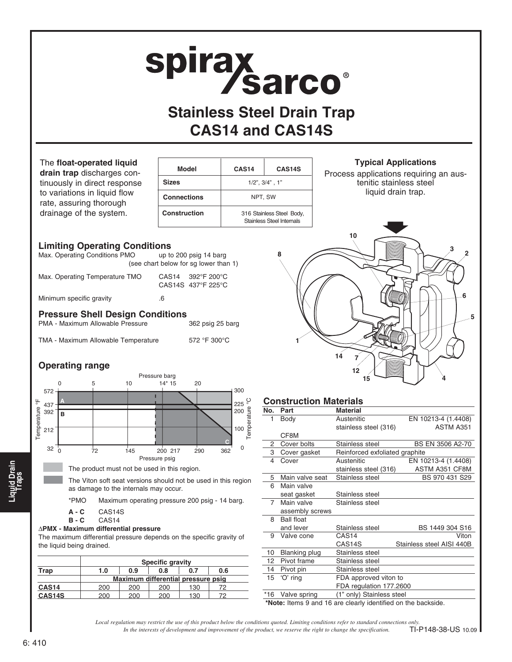# spirax<br>Sarco®

## **Stainless Steel Drain Trap CAS14 and CAS14S**

The **float-operated liquid drain trap** discharges continuously in direct response to variations in liquid flow rate, assuring thorough

drainage of the system.

| Model              | CAS <sub>14</sub>                                             | CAS <sub>14</sub> S |  |
|--------------------|---------------------------------------------------------------|---------------------|--|
| <b>Sizes</b>       | $1/2$ ", $3/4$ ", $1$ "                                       |                     |  |
| <b>Connections</b> | NPT, SW                                                       |                     |  |
| Construction       | 316 Stainless Steel Body,<br><b>Stainless Steel Internals</b> |                     |  |

#### **Typical Applications**

Process applications requiring an austenitic stainless steel liquid drain trap.

#### **Limiting Operating Conditions**

| <b>Pressure Shell Design Conditions</b> |                                                                 |  |  |  |  |
|-----------------------------------------|-----------------------------------------------------------------|--|--|--|--|
| Minimum specific gravity                | .6                                                              |  |  |  |  |
| Max. Operating Temperature TMO          | CAS14 392°F 200°C<br>CAS14S 437°F 225°C                         |  |  |  |  |
| Max. Operating Conditions PMO           | up to 200 psig 14 barg<br>(see chart below for sq lower than 1) |  |  |  |  |

PMA - Maximum Allowable Pressure 362 psig 25 barg

TMA - Maximum Allowable Temperature 572 °F 300°C

### **Operating range**



The product must not be used in this region.

The Viton soft seat versions should not be used in this region as damage to the internals may occur.

\*PMO Maximum operating pressure 200 psig - 14 barg.

- **A C** CAS14S
- **B C** CAS14

#### ∆**PMX - Maximum differential pressure**

The maximum differential pressure depends on the specific gravity of the liquid being drained.

|                   | <b>Specific gravity</b>            |     |     |     |     |
|-------------------|------------------------------------|-----|-----|-----|-----|
| Trap              | 1.0                                | 0.9 | 0.8 | 0.7 | 0.6 |
|                   | Maximum differential pressure psig |     |     |     |     |
| CAS <sub>14</sub> | 200                                | 200 | 200 | 130 |     |
| <b>CAS14S</b>     | 200                                | 200 | 200 | 130 |     |



#### **Construction Materials**

| No.   | Part                 | <b>Material</b>                |                           |  |  |  |
|-------|----------------------|--------------------------------|---------------------------|--|--|--|
| 1     | Body                 | Austenitic                     | EN 10213-4 (1.4408)       |  |  |  |
|       |                      | stainless steel (316)          | ASTM A351                 |  |  |  |
|       | CF8M                 |                                |                           |  |  |  |
| 2     | Cover bolts          | Stainless steel                | BS EN 3506 A2-70          |  |  |  |
| З     | Cover gasket         | Reinforced exfoliated graphite |                           |  |  |  |
| 4     | Cover                | Austenitic                     | EN 10213-4 (1.4408)       |  |  |  |
|       |                      | stainless steel (316)          | ASTM A351 CF8M            |  |  |  |
| 5     | Main valve seat      | Stainless steel                | BS 970 431 S29            |  |  |  |
| 6     | Main valve           |                                |                           |  |  |  |
|       | seat gasket          | Stainless steel                |                           |  |  |  |
| 7     | Main valve           | Stainless steel                |                           |  |  |  |
|       | assembly screws      |                                |                           |  |  |  |
| 8     | <b>Ball float</b>    |                                |                           |  |  |  |
|       | and lever            | Stainless steel                | BS 1449 304 S16           |  |  |  |
| 9     | Valve cone           | CAS <sub>14</sub>              | Viton                     |  |  |  |
|       |                      | CAS14S                         | Stainless steel AISI 440B |  |  |  |
| 10    | <b>Blanking plug</b> | Stainless steel                |                           |  |  |  |
| 12    | Pivot frame          | Stainless steel                |                           |  |  |  |
| 14    | Pivot pin            | Stainless steel                |                           |  |  |  |
| 15    | 'O' ring             | FDA approved viton to          |                           |  |  |  |
|       |                      | FDA regulation 177.2600        |                           |  |  |  |
| $*16$ | Valve spring         | (1" only) Stainless steel      |                           |  |  |  |
| .     |                      |                                |                           |  |  |  |

 **\*Note:** Items 9 and 16 are clearly identified on the backside.

*In the interests of development and improvement of the product, we reserve the right to change the specification. Local regulation may restrict the use of this product below the conditions quoted. Limiting conditions refer to standard connections only.* TI-P148-38-US 10.09